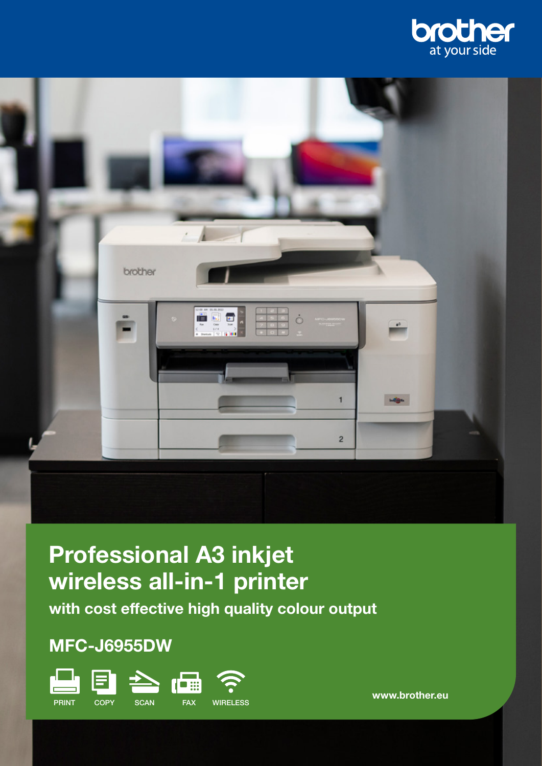



# Professional A3 inkjet wireless all-in-1 printer

with cost effective high quality colour output

# MFC-J6955DW



www.brother.eu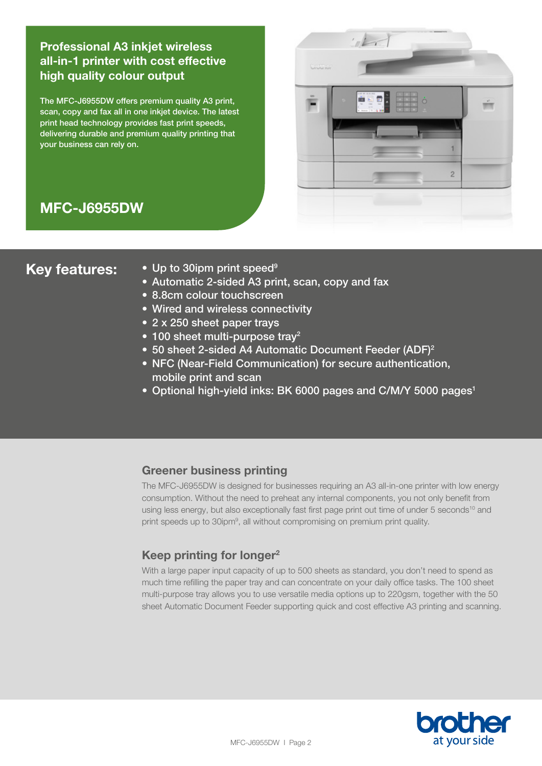# Professional A3 inkjet wireless all-in-1 printer with cost effective high quality colour output

The MFC-J6955DW offers premium quality A3 print, scan, copy and fax all in one inkjet device. The latest print head technology provides fast print speeds, delivering durable and premium quality printing that your business can rely on.



# MFC-J6955DW

- Key features: Up to 30ipm print speed<sup>9</sup>
	- Automatic 2-sided A3 print, scan, copy and fax
	- 8.8cm colour touchscreen
	- Wired and wireless connectivity
	- 2 x 250 sheet paper trays
	- 100 sheet multi-purpose tray<sup>2</sup>
	- 50 sheet 2-sided A4 Automatic Document Feeder (ADF)<sup>2</sup>
	- NFC (Near-Field Communication) for secure authentication, mobile print and scan
	- Optional high-yield inks: BK 6000 pages and C/M/Y 5000 pages<sup>1</sup>

# Greener business printing

The MFC-J6955DW is designed for businesses requiring an A3 all-in-one printer with low energy consumption. Without the need to preheat any internal components, you not only benefit from using less energy, but also exceptionally fast first page print out time of under 5 seconds<sup>10</sup> and print speeds up to 30ipm<sup>9</sup>, all without compromising on premium print quality.

# Keep printing for longer<sup>2</sup>

With a large paper input capacity of up to 500 sheets as standard, you don't need to spend as much time refilling the paper tray and can concentrate on your daily office tasks. The 100 sheet multi-purpose tray allows you to use versatile media options up to 220gsm, together with the 50 sheet Automatic Document Feeder supporting quick and cost effective A3 printing and scanning.

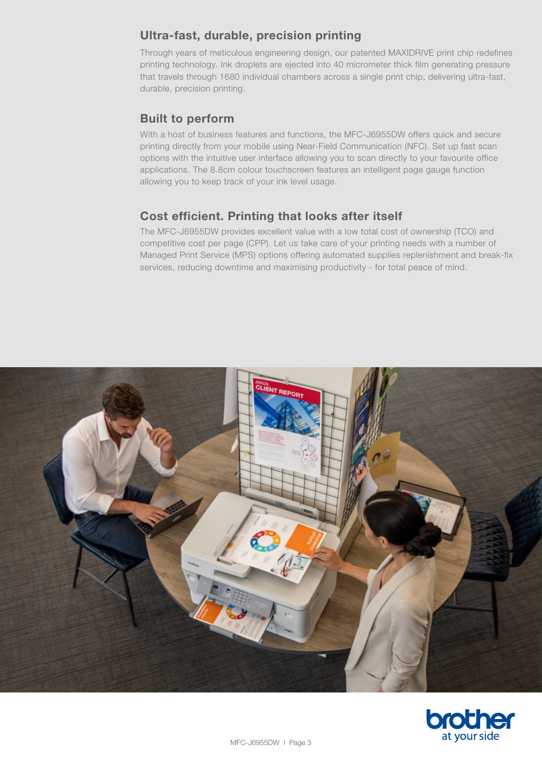# Ultra-fast, durable, precision printing

Through years of meticulous engineering design, our patented MAXIDRIVE print chip redefines printing technology. Ink droplets are ejected into 40 micrometer thick film generating pressure that travels through 1680 individual chambers across a single print chip, delivering ultra-fast, durable, precision printing.

# Built to perform

With a host of business features and functions, the MFC-J6955DW offers quick and secure printing directly from your mobile using Near-Field Communication (NFC). Set up fast scan options with the intuitive user interface allowing you to scan directly to your favourite office applications. The 8.8cm colour touchscreen features an intelligent page gauge function allowing you to keep track of your ink level usage.

# Cost efficient. Printing that looks after itself

The MFC-J6955DW provides excellent value with a low total cost of ownership (TCO) and competitive cost per page (CPP). Let us take care of your printing needs with a number of Managed Print Service (MPS) options offering automated supplies replenishment and break-fix services, reducing downtime and maximising productivity - for total peace of mind.



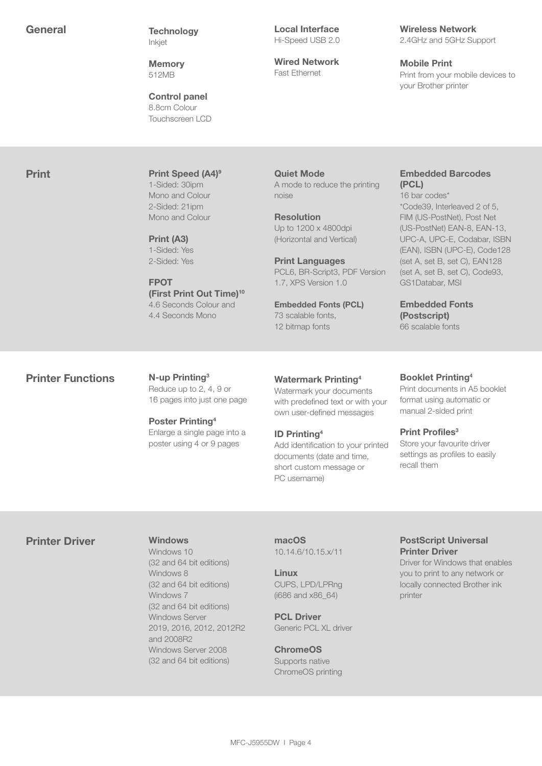General Technology Inkjet

> **Memory** 512MB

Control panel 8.8cm Colour Touchscreen LCD Local Interface Hi-Speed USB 2.0

Wired Network Fast Ethernet

#### Wireless Network 2.4GHz and 5GHz Support

Mobile Print Print from your mobile devices to your Brother printer

**Print Print Speed (A4)<sup>9</sup>** 1-Sided: 30ipm Mono and Colour 2-Sided: 21ipm Mono and Colour

> Print (A3) 1-Sided: Yes 2-Sided: Yes

FPOT (First Print Out Time)<sup>10</sup> 4.6 Seconds Colour and 4.4 Seconds Mono

Quiet Mode A mode to reduce the printing noise

Resolution Up to 1200 x 4800dpi (Horizontal and Vertical)

Print Languages PCL6, BR-Script3, PDF Version 1.7, XPS Version 1.0

Embedded Fonts (PCL) 73 scalable fonts, 12 bitmap fonts

### Embedded Barcodes (PCL)

16 bar codes\* \*Code39, Interleaved 2 of 5, FIM (US-PostNet), Post Net (US-PostNet) EAN-8, EAN-13, UPC-A, UPC-E, Codabar, ISBN (EAN), ISBN (UPC-E), Code128 (set A, set B, set C), EAN128 (set A, set B, set C), Code93, GS1Databar, MSI

Embedded Fonts (Postscript) 66 scalable fonts

# Printer Functions N-up Printing<sup>3</sup>

Reduce up to 2, 4, 9 or 16 pages into just one page

Poster Printing4 Enlarge a single page into a poster using 4 or 9 pages

#### Watermark Printing4

Watermark your documents with predefined text or with your own user-defined messages

#### ID Printing4

Add identification to your printed documents (date and time, short custom message or PC username)

#### Booklet Printing4

Print documents in A5 booklet format using automatic or manual 2-sided print

#### Print Profiles<sup>3</sup>

Store your favourite driver settings as profiles to easily recall them

# Printer Driver Windows

Windows 10 (32 and 64 bit editions) Windows 8 (32 and 64 bit editions) Windows 7 (32 and 64 bit editions) Windows Server 2019, 2016, 2012, 2012R2 and 2008R2 Windows Server 2008 (32 and 64 bit editions)

macOS 10.14.6/10.15.x/11

Linux CUPS, LPD/LPRng (i686 and x86\_64)

PCL Driver Generic PCL XL driver

#### ChromeOS

Supports native ChromeOS printing

# PostScript Universal Printer Driver

Driver for Windows that enables you to print to any network or locally connected Brother ink printer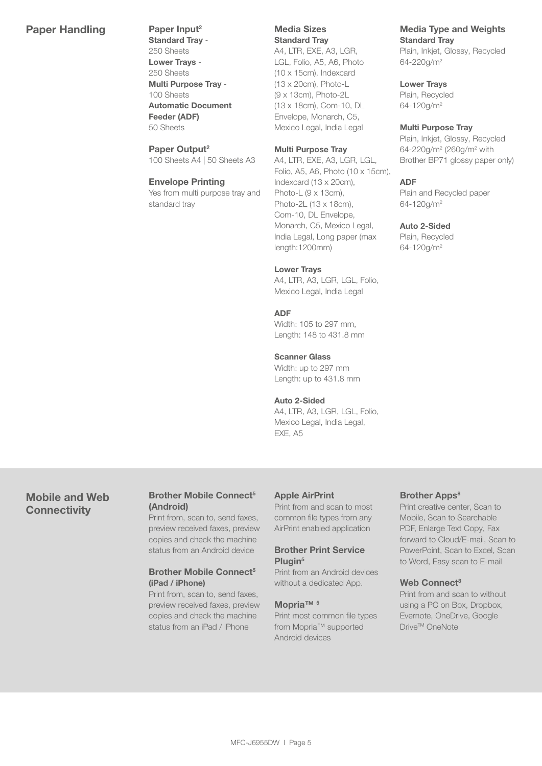# Paper Handling Paper Input<sup>2</sup>

Standard Tray - 250 Sheets Lower Trays - 250 Sheets Multi Purpose Tray - 100 Sheets Automatic Document Feeder (ADF) 50 Sheets

Paper Output<sup>2</sup> 100 Sheets A4 | 50 Sheets A3

#### Envelope Printing Yes from multi purpose tray and standard tray

Media Sizes Standard Tray

A4, LTR, EXE, A3, LGR, LGL, Folio, A5, A6, Photo (10 x 15cm), Indexcard (13 x 20cm), Photo-L (9 x 13cm), Photo-2L (13 x 18cm), Com-10, DL Envelope, Monarch, C5, Mexico Legal, India Legal

#### Multi Purpose Tray

A4, LTR, EXE, A3, LGR, LGL, Folio, A5, A6, Photo (10 x 15cm), Indexcard (13 x 20cm), Photo-L (9 x 13cm), Photo-2L (13 x 18cm), Com-10, DL Envelope, Monarch, C5, Mexico Legal, India Legal, Long paper (max length:1200mm)

#### Lower Trays

A4, LTR, A3, LGR, LGL, Folio, Mexico Legal, India Legal

#### ADF

Width: 105 to 297 mm, Length: 148 to 431.8 mm

#### Scanner Glass

Width: up to 297 mm Length: up to 431.8 mm

#### Auto 2-Sided

A4, LTR, A3, LGR, LGL, Folio, Mexico Legal, India Legal, EXE, A5

# Mobile and Web **Connectivity**

#### Brother Mobile Connect<sup>5</sup> (Android)

Print from, scan to, send faxes, preview received faxes, preview copies and check the machine status from an Android device

#### Brother Mobile Connect<sup>5</sup> (iPad / iPhone)

Print from, scan to, send faxes, preview received faxes, preview copies and check the machine status from an iPad / iPhone

#### Apple AirPrint

Print from and scan to most common file types from any AirPrint enabled application

#### Brother Print Service Plugin<sup>5</sup>

Print from an Android devices without a dedicated App.

#### Mopria™ 5

Print most common file types from Mopria™ supported Android devices

#### Brother Apps<sup>8</sup>

Print creative center, Scan to Mobile, Scan to Searchable PDF, Enlarge Text Copy, Fax forward to Cloud/E-mail, Scan to PowerPoint, Scan to Excel, Scan to Word, Easy scan to E-mail

#### Web Connect<sup>8</sup>

Print from and scan to without using a PC on Box, Dropbox, Evernote, OneDrive, Google Drive™ OneNote

### Media Type and Weights Standard Tray

Plain, Inkjet, Glossy, Recycled 64-220g/m2

#### Lower Trays

Plain, Recycled 64-120g/m2

#### Multi Purpose Tray

Plain, Inkjet, Glossy, Recycled 64-220g/m<sup>2</sup> (260g/m<sup>2</sup> with Brother BP71 glossy paper only)

#### ADF

Plain and Recycled paper 64-120g/m2

#### Auto 2-Sided

Plain, Recycled 64-120g/m2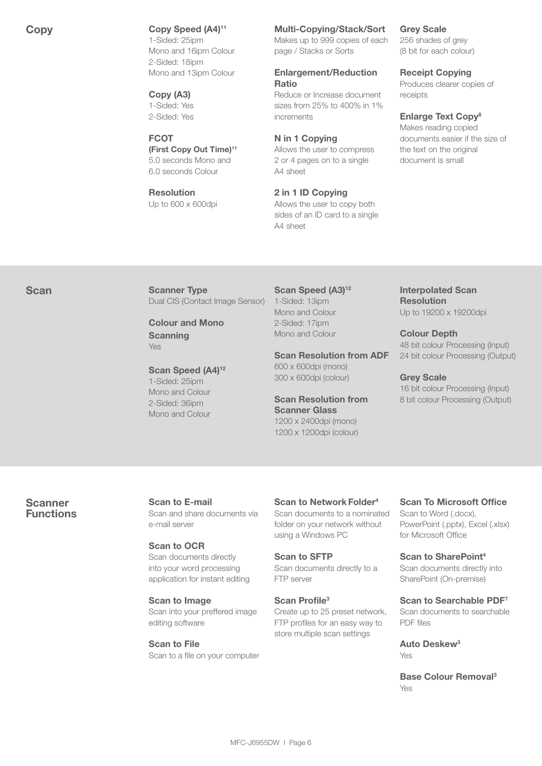#### Copy Copy Speed (A4)<sup>11</sup>

1-Sided: 25ipm Mono and 16ipm Colour 2-Sided: 18ipm Mono and 13ipm Colour

Copy (A3) 1-Sided: Yes 2-Sided: Yes

#### **FCOT**

(First Copy Out Time)11 5.0 seconds Mono and 6.0 seconds Colour

#### Resolution Up to 600 x 600dpi

#### Multi-Copying/Stack/Sort

Makes up to 999 copies of each page / Stacks or Sorts

#### Enlargement/Reduction Ratio

Reduce or Increase document sizes from 25% to 400% in 1% increments

#### N in 1 Copying

Allows the user to compress 2 or 4 pages on to a single A4 sheet

2 in 1 ID Copying Allows the user to copy both sides of an ID card to a single A4 sheet

#### Grey Scale

256 shades of grey (8 bit for each colour)

#### Receipt Copying

Produces clearer copies of receipts

#### Enlarge Text Copy<sup>8</sup>

Makes reading copied documents easier if the size of the text on the original document is small

Scan Scanner Type Dual CIS (Contact Image Sensor)

> Colour and Mono **Scanning** Yes

Scan Speed (A4)<sup>12</sup> 1-Sided: 25ipm Mono and Colour 2-Sided: 36ipm Mono and Colour

Scan Speed (A3)<sup>12</sup> 1-Sided: 13ipm Mono and Colour 2-Sided: 17ipm Mono and Colour

Scan Resolution from ADF 600 x 600dpi (mono)

300 x 600dpi (colour)

Scan Resolution from Scanner Glass 1200 x 2400dpi (mono) 1200 x 1200dpi (colour)

Interpolated Scan Resolution Up to 19200 x 19200dpi

Colour Depth 48 bit colour Processing (Input) 24 bit colour Processing (Output)

#### Grey Scale

16 bit colour Processing (Input) 8 bit colour Processing (Output)

**Scanner** Functions Scan to E-mail Scan and share documents via e-mail server

Scan to OCR Scan documents directly into your word processing application for instant editing

Scan to Image Scan into your preffered image editing software

Scan to File Scan to a file on your computer

Scan to Network Folder<sup>4</sup> Scan documents to a nominated folder on your network without using a Windows PC

Scan to SFTP Scan documents directly to a FTP server

Scan Profile<sup>3</sup> Create up to 25 preset network, FTP profiles for an easy way to store multiple scan settings

# Scan To Microsoft Office Scan to Word (.docx),

PowerPoint (.pptx), Excel (.xlsx) for Microsoft Office

Scan to SharePoint4 Scan documents directly into SharePoint (On-premise)

Scan to Searchable PDF7 Scan documents to searchable PDF files

Auto Deskew3 Yes

Base Colour Removal3 Yes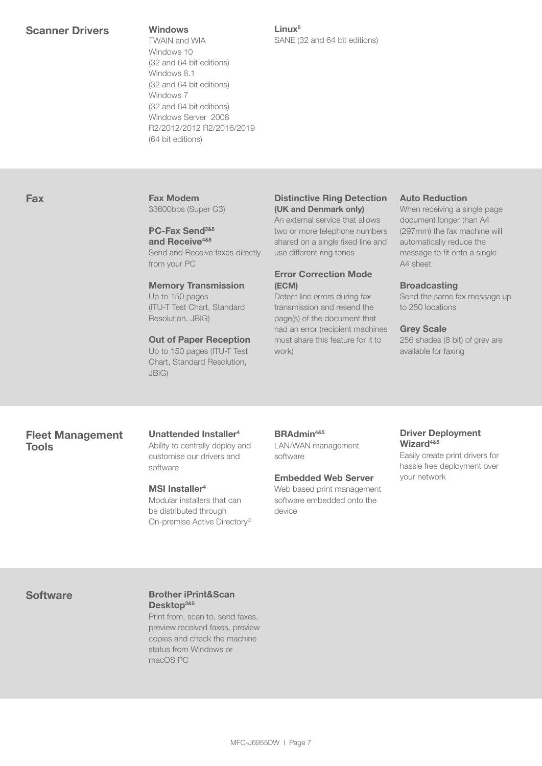TWAIN and WIA Windows 10 (32 and 64 bit editions) Windows 8.1 (32 and 64 bit editions) Windows 7 (32 and 64 bit editions) Windows Server 2008 R2/2012/2012 R2/2016/2019 (64 bit editions)

Linux5 SANE (32 and 64 bit editions)

## Fax Fax Modem

33600bps (Super G3)

## PC-Fax Send<sup>3&8</sup> and Receive<sup>4&8</sup>

Send and Receive faxes directly from your PC

#### Memory Transmission

Up to 150 pages (ITU-T Test Chart, Standard Resolution, JBIG)

#### Out of Paper Reception

Up to 150 pages (ITU-T Test Chart, Standard Resolution, JBIG)

#### Distinctive Ring Detection (UK and Denmark only)

An external service that allows two or more telephone numbers shared on a single fixed line and use different ring tones

#### Error Correction Mode (ECM)

Detect line errors during fax transmission and resend the page(s) of the document that had an error (recipient machines must share this feature for it to work)

#### Auto Reduction

When receiving a single page document longer than A4 (297mm) the fax machine will automatically reduce the message to fit onto a single A4 sheet

#### **Broadcasting**

Send the same fax message up to 250 locations

#### Grey Scale

256 shades (8 bit) of grey are available for faxing

# Fleet Management Tools

Unattended Installer4 Ability to centrally deploy and customise our drivers and

#### MSI Installer<sup>4</sup>

software

Modular installers that can be distributed through On-premise Active Directory®

# BRAdmin4&5

LAN/WAN management software

#### Embedded Web Server

Web based print management software embedded onto the device

#### Driver Deployment Wizard<sup>4&5</sup>

Easily create print drivers for hassle free deployment over your network

#### Software Brother iPrint&Scan Desktop<sup>3&5</sup>

Print from, scan to, send faxes, preview received faxes, preview copies and check the machine status from Windows or macOS PC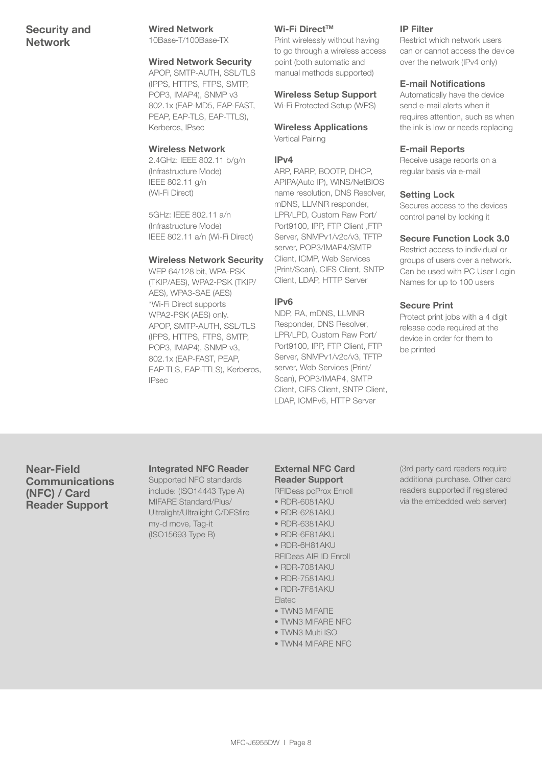# Security and Network

#### Wired Network

10Base-T/100Base-TX

#### Wired Network Security

APOP, SMTP-AUTH, SSL/TLS (IPPS, HTTPS, FTPS, SMTP, POP3, IMAP4), SNMP v3 802.1x (EAP-MD5, EAP-FAST, PEAP, EAP-TLS, EAP-TTLS), Kerberos, IPsec

#### Wireless Network

2.4GHz: IEEE 802.11 b/g/n (Infrastructure Mode) IEEE 802.11 g/n (Wi-Fi Direct)

5GHz: IEEE 802.11 a/n (Infrastructure Mode) IEEE 802.11 a/n (Wi-Fi Direct)

#### Wireless Network Security

WEP 64/128 bit, WPA-PSK (TKIP/AES), WPA2-PSK (TKIP/ AES), WPA3-SAE (AES) \*Wi-Fi Direct supports WPA2-PSK (AES) only. APOP, SMTP-AUTH, SSL/TLS (IPPS, HTTPS, FTPS, SMTP, POP3, IMAP4), SNMP v3, 802.1x (EAP-FAST, PEAP, EAP-TLS, EAP-TTLS), Kerberos, IPsec

#### Wi-Fi Direct™

Print wirelessly without having to go through a wireless access point (both automatic and manual methods supported)

### Wireless Setup Support

Wi-Fi Protected Setup (WPS)

Wireless Applications Vertical Pairing

#### IPv4

ARP, RARP, BOOTP, DHCP, APIPA(Auto IP), WINS/NetBIOS name resolution, DNS Resolver, mDNS, LLMNR responder, LPR/LPD, Custom Raw Port/ Port9100, IPP, FTP Client ,FTP Server, SNMPv1/v2c/v3, TFTP server, POP3/IMAP4/SMTP Client, ICMP, Web Services (Print/Scan), CIFS Client, SNTP Client, LDAP, HTTP Server

#### IPv6

NDP, RA, mDNS, LLMNR Responder, DNS Resolver, LPR/LPD, Custom Raw Port/ Port9100, IPP, FTP Client, FTP Server, SNMPv1/v2c/v3, TFTP server, Web Services (Print/ Scan), POP3/IMAP4, SMTP Client, CIFS Client, SNTP Client, LDAP, ICMPv6, HTTP Server

#### IP Filter

Restrict which network users can or cannot access the device over the network (IPv4 only)

#### E-mail Notifications

Automatically have the device send e-mail alerts when it requires attention, such as when the ink is low or needs replacing

#### E-mail Reports

Receive usage reports on a regular basis via e-mail

#### Setting Lock

Secures access to the devices control panel by locking it

#### Secure Function Lock 3.0

Restrict access to individual or groups of users over a network. Can be used with PC User Login Names for up to 100 users

#### Secure Print

Protect print jobs with a 4 digit release code required at the device in order for them to be printed

Near-Field Communications (NFC) / Card Reader Support

#### Integrated NFC Reader

Supported NFC standards include: (ISO14443 Type A) MIFARE Standard/Plus/ Ultralight/Ultralight C/DESfire my-d move, Tag-it (ISO15693 Type B)

#### External NFC Card Reader Support

RFIDeas pcProx Enroll

- RDR-6081AKU
- RDR-6281AKU • RDR-6381AKU
- RDR-6E81AKU
- RDR-6H81AKU
- RFIDeas AIR ID Enroll
- RDR-7081AKU
- RDR-7581AKU
- RDR-7F81AKU Elatec
- TWN3 MIFARE
- TWN3 MIFARE NFC
- TWN3 Multi ISO
- TWN4 MIFARE NFC

(3rd party card readers require additional purchase. Other card readers supported if registered via the embedded web server)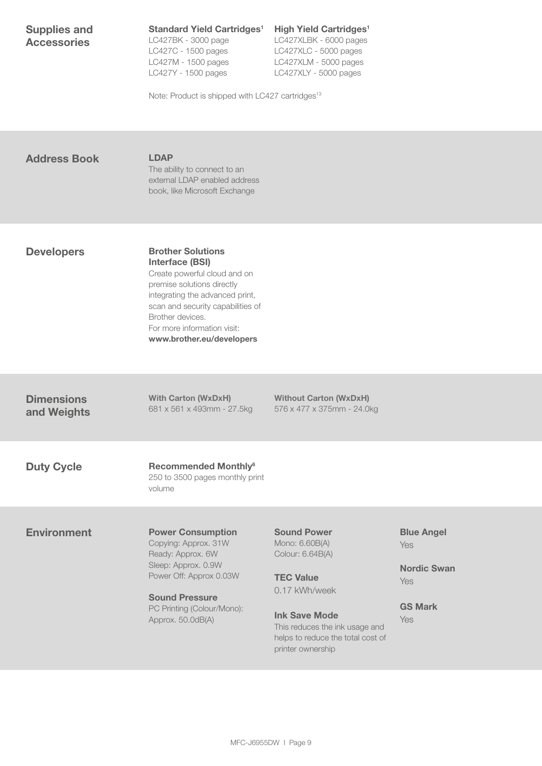| <b>Supplies and</b><br><b>Accessories</b> | <b>Standard Yield Cartridges<sup>1</sup></b><br>LC427BK - 3000 page<br>LC427C - 1500 pages<br>LC427M - 1500 pages<br>LC427Y - 1500 pages<br>Note: Product is shipped with LC427 cartridges <sup>13</sup>                                                                 | <b>High Yield Cartridges<sup>1</sup></b><br>LC427XLBK - 6000 pages<br>LC427XLC - 5000 pages<br>LC427XLM - 5000 pages<br>LC427XLY - 5000 pages                                                                     |                                                                                |
|-------------------------------------------|--------------------------------------------------------------------------------------------------------------------------------------------------------------------------------------------------------------------------------------------------------------------------|-------------------------------------------------------------------------------------------------------------------------------------------------------------------------------------------------------------------|--------------------------------------------------------------------------------|
| <b>Address Book</b>                       | <b>LDAP</b><br>The ability to connect to an<br>external LDAP enabled address<br>book, like Microsoft Exchange                                                                                                                                                            |                                                                                                                                                                                                                   |                                                                                |
| <b>Developers</b>                         | <b>Brother Solutions</b><br><b>Interface (BSI)</b><br>Create powerful cloud and on<br>premise solutions directly<br>integrating the advanced print,<br>scan and security capabilities of<br>Brother devices.<br>For more information visit:<br>www.brother.eu/developers |                                                                                                                                                                                                                   |                                                                                |
| <b>Dimensions</b><br>and Weights          | <b>With Carton (WxDxH)</b><br>681 x 561 x 493mm - 27.5kg                                                                                                                                                                                                                 | <b>Without Carton (WxDxH)</b><br>576 x 477 x 375mm - 24.0kg                                                                                                                                                       |                                                                                |
| <b>Duty Cycle</b>                         | <b>Recommended Monthly<sup>6</sup></b><br>250 to 3500 pages monthly print<br>volume                                                                                                                                                                                      |                                                                                                                                                                                                                   |                                                                                |
| <b>Environment</b>                        | <b>Power Consumption</b><br>Copying: Approx. 31W<br>Ready: Approx. 6W<br>Sleep: Approx. 0.9W<br>Power Off: Approx 0.03W<br><b>Sound Pressure</b><br>PC Printing (Colour/Mono):<br>Approx. 50.0dB(A)                                                                      | <b>Sound Power</b><br>Mono: 6.60B(A)<br>Colour: 6.64B(A)<br><b>TEC Value</b><br>0.17 kWh/week<br><b>Ink Save Mode</b><br>This reduces the ink usage and<br>helps to reduce the total cost of<br>printer ownership | <b>Blue Angel</b><br>Yes<br><b>Nordic Swan</b><br>Yes<br><b>GS Mark</b><br>Yes |